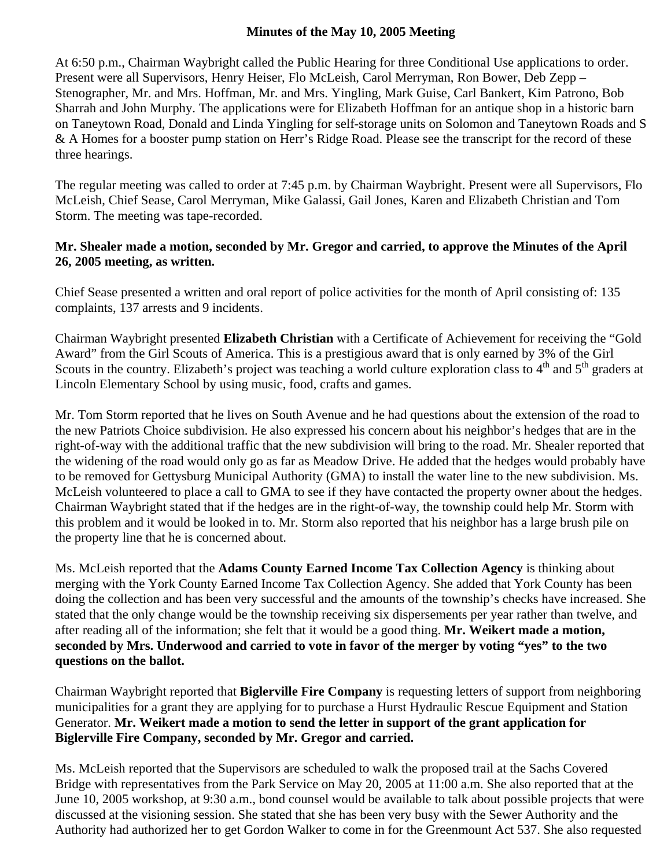## **Minutes of the May 10, 2005 Meeting**

At 6:50 p.m., Chairman Waybright called the Public Hearing for three Conditional Use applications to order. Present were all Supervisors, Henry Heiser, Flo McLeish, Carol Merryman, Ron Bower, Deb Zepp – Stenographer, Mr. and Mrs. Hoffman, Mr. and Mrs. Yingling, Mark Guise, Carl Bankert, Kim Patrono, Bob Sharrah and John Murphy. The applications were for Elizabeth Hoffman for an antique shop in a historic barn on Taneytown Road, Donald and Linda Yingling for self-storage units on Solomon and Taneytown Roads and S & A Homes for a booster pump station on Herr's Ridge Road. Please see the transcript for the record of these three hearings.

The regular meeting was called to order at 7:45 p.m. by Chairman Waybright. Present were all Supervisors, Flo McLeish, Chief Sease, Carol Merryman, Mike Galassi, Gail Jones, Karen and Elizabeth Christian and Tom Storm. The meeting was tape-recorded.

## **Mr. Shealer made a motion, seconded by Mr. Gregor and carried, to approve the Minutes of the April 26, 2005 meeting, as written.**

Chief Sease presented a written and oral report of police activities for the month of April consisting of: 135 complaints, 137 arrests and 9 incidents.

Chairman Waybright presented **Elizabeth Christian** with a Certificate of Achievement for receiving the "Gold Award" from the Girl Scouts of America. This is a prestigious award that is only earned by 3% of the Girl Scouts in the country. Elizabeth's project was teaching a world culture exploration class to  $4<sup>th</sup>$  and  $5<sup>th</sup>$  graders at Lincoln Elementary School by using music, food, crafts and games.

Mr. Tom Storm reported that he lives on South Avenue and he had questions about the extension of the road to the new Patriots Choice subdivision. He also expressed his concern about his neighbor's hedges that are in the right-of-way with the additional traffic that the new subdivision will bring to the road. Mr. Shealer reported that the widening of the road would only go as far as Meadow Drive. He added that the hedges would probably have to be removed for Gettysburg Municipal Authority (GMA) to install the water line to the new subdivision. Ms. McLeish volunteered to place a call to GMA to see if they have contacted the property owner about the hedges. Chairman Waybright stated that if the hedges are in the right-of-way, the township could help Mr. Storm with this problem and it would be looked in to. Mr. Storm also reported that his neighbor has a large brush pile on the property line that he is concerned about.

Ms. McLeish reported that the **Adams County Earned Income Tax Collection Agency** is thinking about merging with the York County Earned Income Tax Collection Agency. She added that York County has been doing the collection and has been very successful and the amounts of the township's checks have increased. She stated that the only change would be the township receiving six dispersements per year rather than twelve, and after reading all of the information; she felt that it would be a good thing. **Mr. Weikert made a motion, seconded by Mrs. Underwood and carried to vote in favor of the merger by voting "yes" to the two questions on the ballot.** 

Chairman Waybright reported that **Biglerville Fire Company** is requesting letters of support from neighboring municipalities for a grant they are applying for to purchase a Hurst Hydraulic Rescue Equipment and Station Generator. **Mr. Weikert made a motion to send the letter in support of the grant application for Biglerville Fire Company, seconded by Mr. Gregor and carried.** 

Ms. McLeish reported that the Supervisors are scheduled to walk the proposed trail at the Sachs Covered Bridge with representatives from the Park Service on May 20, 2005 at 11:00 a.m. She also reported that at the June 10, 2005 workshop, at 9:30 a.m., bond counsel would be available to talk about possible projects that were discussed at the visioning session. She stated that she has been very busy with the Sewer Authority and the Authority had authorized her to get Gordon Walker to come in for the Greenmount Act 537. She also requested